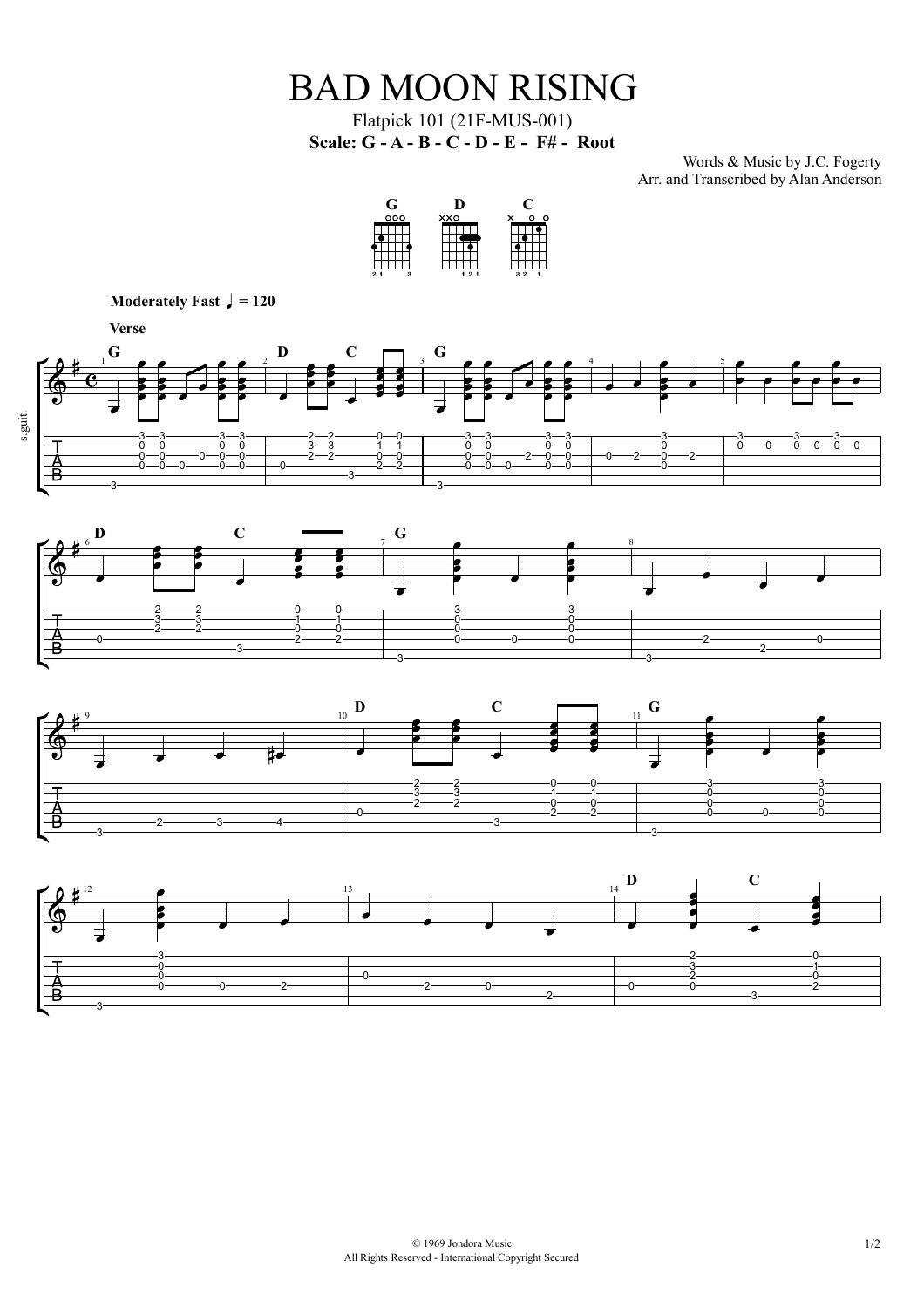## BAD MOON RISING

Flatpick 101 (21F-MUS-001) **Scale: G - A - B - C - D - E - F# - Root**

Words & Music by J.C. Fogerty Arr. and Transcribed by Alan Anderson